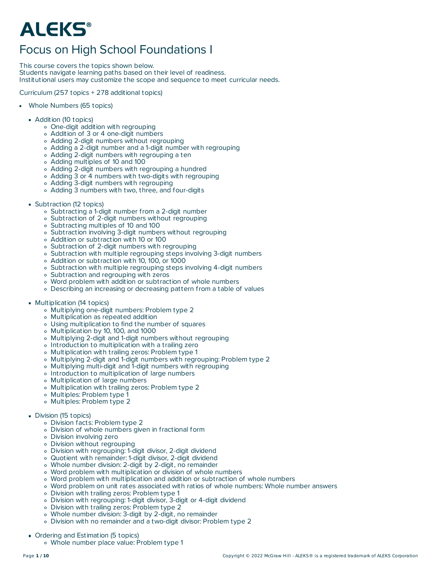# **ALEKS®**

## Focus on High School Foundations I

This course covers the topics shown below. Students navigate learning paths based on their level of readiness.

Institutional users may customize the scope and sequence to meet curricular needs.

Curriculum (257 topics + 278 additional topics)

- Whole Numbers (65 topics)
	- **Addition (10 topics)** 
		- One-digit addition with regrouping
		- Addition of 3 or 4 one-digit numbers
		- Adding 2-digit numbers without regrouping
		- Adding a 2-digit number and a 1-digit number with regrouping
		- Adding 2-digit numbers with regrouping a ten
		- Adding multiples of 10 and 100
		- Adding 2-digit numbers with regrouping a hundred
		- Adding 3 or 4 numbers with two-digits with regrouping
		- Adding 3-digit numbers with regrouping
		- Adding 3 numbers with two, three, and four-digits
	- **Subtraction (12 topics)** 
		- Subtracting a 1-digit number from a 2-digit number
		- Subtraction of 2-digit numbers without regrouping
		- Subtracting multiples of 10 and 100
		- Subtraction involving 3-digit numbers without regrouping
		- Addition or subtraction with 10 or 100
		- Subtraction of 2-digit numbers with regrouping
		- Subtraction with multiple regrouping steps involving 3-digit numbers
		- Addition or subtraction with 10, 100, or 1000
		- o Subtraction with multiple regrouping steps involving 4-digit numbers
		- Subtraction and regrouping with zeros
		- Word problem with addition or subtraction of whole numbers
		- Describing an increasing or decreasing pattern from a table of values
	- **Multiplication (14 topics)** 
		- Multiplying one-digit numbers: Problem type 2
		- Multiplication as repeated addition
		- Using multiplication to find the number of squares
		- Multiplication by 10, 100, and 1000
		- Multiplying 2-digit and 1-digit numbers without regrouping
		- o Introduction to multiplication with a trailing zero
		- Multiplication with trailing zeros: Problem type 1
		- Multiplying 2-digit and 1-digit numbers with regrouping: Problem type 2
		- Multiplying multi-digit and 1-digit numbers with regrouping
		- Introduction to multiplication of large numbers
		- Multiplication of large numbers
		- Multiplication with trailing zeros: Problem type 2
		- Multiples: Problem type 1
		- Multiples: Problem type 2

### Division (15 topics)

- Division facts: Problem type 2
- Division of whole numbers given in fractional form
- Division involving zero
- Division without regrouping
- Division with regrouping: 1-digit divisor, 2-digit dividend
- Quotient with remainder: 1-digit divisor, 2-digit dividend
- Whole number division: 2-digit by 2-digit, no remainder
- Word problem with multiplication or division of whole numbers
- Word problem with multiplication and addition or subtraction of whole numbers
- Word problem on unit rates associated with ratios of whole numbers: Whole number answers
- Division with trailing zeros: Problem type 1
- Division with regrouping: 1-digit divisor, 3-digit or 4-digit dividend
- Division with trailing zeros: Problem type 2
- Whole number division: 3-digit by 2-digit, no remainder
- Division with no remainder and a two-digit divisor: Problem type 2
- Ordering and Estimation (5 topics) Whole number place value: Problem type 1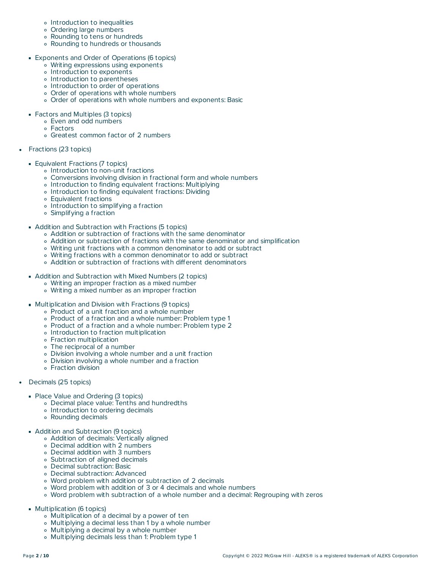- o Introduction to inequalities
- Ordering large numbers
- Rounding to tens or hundreds
- Rounding to hundreds or thousands
- Exponents and Order of Operations (6 topics)
	- Writing expressions using exponents
	- o Introduction to exponents
	- Introduction to parentheses
	- o Introduction to order of operations
	- Order of operations with whole numbers
	- Order of operations with whole numbers and exponents: Basic
- Factors and Multiples (3 topics)
	- Even and odd numbers
	- Factors
	- Greatest common factor of 2 numbers
- Fractions (23 topics)
	- **Equivalent Fractions (7 topics)** 
		- o Introduction to non-unit fractions
		- Conversions involving division in fractional form and whole numbers
		- o Introduction to finding equivalent fractions: Multiplying
		- o Introduction to finding equivalent fractions: Dividing
		- Equivalent fractions
		- Introduction to simplifying a fraction
		- Simplifying a fraction
	- Addition and Subtraction with Fractions (5 topics)
		- Addition or subtraction of fractions with the same denominator
		- Addition or subtraction of fractions with the same denominator and simplification
		- Writing unit fractions with a common denominator to add or subtract
		- Writing fractions with a common denominator to add or subtract
		- Addition or subtraction of fractions with different denominators
	- Addition and Subtraction with Mixed Numbers (2 topics)
		- Writing an improper fraction as a mixed number
		- Writing a mixed number as an improper fraction
	- **Multiplication and Division with Fractions (9 topics)** 
		- Product of a unit fraction and a whole number
		- Product of a fraction and a whole number: Problem type 1
		- Product of a fraction and a whole number: Problem type 2
		- Introduction to fraction multiplication
		- Fraction multiplication
		- The reciprocal of a number
		- Division involving a whole number and a unit fraction
		- Division involving a whole number and a fraction
		- Fraction division
- Decimals (25 topics)
	- Place Value and Ordering (3 topics)
		- Decimal place value: Tenths and hundredths
		- o Introduction to ordering decimals
		- Rounding decimals
	- **Addition and Subtraction (9 topics)** 
		- Addition of decimals: Vertically aligned
		- Decimal addition with 2 numbers
		- Decimal addition with 3 numbers
		- Subtraction of aligned decimals
		- Decimal subtraction: Basic
		- Decimal subtraction: Advanced
		- Word problem with addition or subtraction of 2 decimals
		- Word problem with addition of 3 or 4 decimals and whole numbers
		- Word problem with subtraction of a whole number and a decimal: Regrouping with zeros
	- **Multiplication (6 topics)** 
		- Multiplication of a decimal by a power of ten
		- Multiplying a decimal less than 1 by a whole number
		- Multiplying a decimal by a whole number
		- Multiplying decimals less than 1: Problem type 1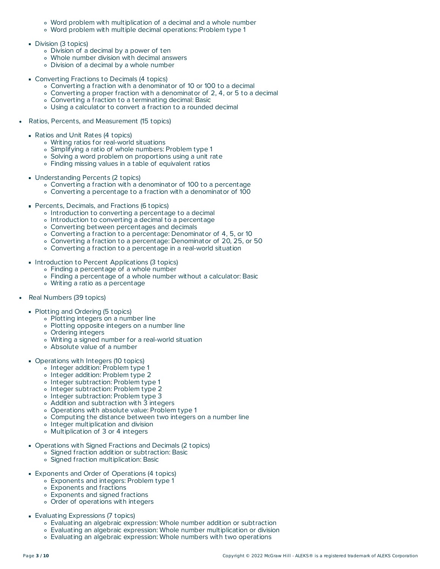- Word problem with multiplication of a decimal and a whole number
- Word problem with multiple decimal operations: Problem type 1
- Division (3 topics)
	- Division of a decimal by a power of ten
	- Whole number division with decimal answers
	- Division of a decimal by a whole number
- **Converting Fractions to Decimals (4 topics)** 
	- Converting a fraction with a denominator of 10 or 100 to a decimal
	- Converting a proper fraction with a denominator of 2, 4, or 5 to a decimal
	- Converting a fraction to a terminating decimal: Basic
	- Using a calculator to convert a fraction to a rounded decimal
- Ratios, Percents, and Measurement (15 topics)
	- Ratios and Unit Rates (4 topics)
		- Writing ratios for real-world situations
		- Simplifying a ratio of whole numbers: Problem type 1
		- Solving a word problem on proportions using a unit rate
		- Finding missing values in a table of equivalent ratios
	- Understanding Percents (2 topics)
		- Converting a fraction with a denominator of 100 to a percentage
		- Converting a percentage to a fraction with a denominator of 100
	- **Percents, Decimals, and Fractions (6 topics)** 
		- o Introduction to converting a percentage to a decimal
		- Introduction to converting a decimal to a percentage
		- Converting between percentages and decimals
		- Converting a fraction to a percentage: Denominator of 4, 5, or 10
		- Converting a fraction to a percentage: Denominator of 20, 25, or 50
		- Converting a fraction to a percentage in a real-world situation
	- Introduction to Percent Applications (3 topics)
		- Finding a percentage of a whole number
		- Finding a percentage of a whole number without a calculator: Basic
		- Writing a ratio as a percentage
- Real Numbers (39 topics)
	- Plotting and Ordering (5 topics)
		- Plotting integers on a number line
		- Plotting opposite integers on a number line
		- Ordering integers
		- Writing a signed number for a real-world situation
		- Absolute value of a number
	- **Operations with Integers (10 topics)** 
		- o Integer addition: Problem type 1
		- o Integer addition: Problem type 2
		- o Integer subtraction: Problem type 1
		- o Integer subtraction: Problem type 2
		- o Integer subtraction: Problem type 3
		- Addition and subtraction with 3 integers
		- Operations with absolute value: Problem type 1
		- Computing the distance between two integers on a number line
		- Integer multiplication and division
		- Multiplication of 3 or 4 integers
	- Operations with Signed Fractions and Decimals (2 topics)
		- Signed fraction addition or subtraction: Basic
		- Signed fraction multiplication: Basic
	- **Exponents and Order of Operations (4 topics)** 
		- Exponents and integers: Problem type 1
		- Exponents and fractions
		- Exponents and signed fractions
		- Order of operations with integers
	- Evaluating Expressions (7 topics)
		- Evaluating an algebraic expression: Whole number addition or subtraction
		- Evaluating an algebraic expression: Whole number multiplication or division
		- Evaluating an algebraic expression: Whole numbers with two operations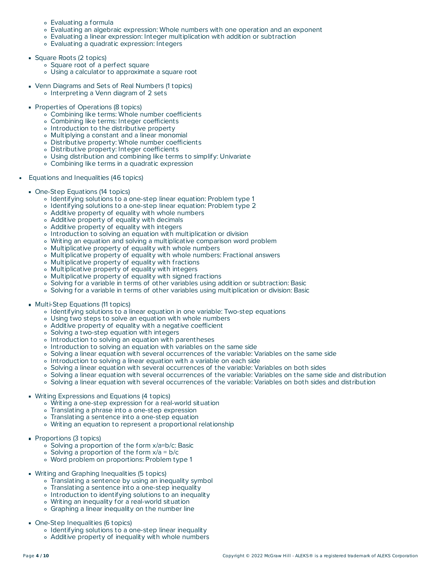- Evaluating a formula
- Evaluating an algebraic expression: Whole numbers with one operation and an exponent
- Evaluating a linear expression: Integer multiplication with addition or subtraction
- Evaluating a quadratic expression: Integers
- Square Roots (2 topics)
	- Square root of a perfect square
	- Using a calculator to approximate a square root
- Venn Diagrams and Sets of Real Numbers (1 topics) o Interpreting a Venn diagram of 2 sets
- **Properties of Operations (8 topics)** 
	- Combining like terms: Whole number coefficients
	- Combining like terms: Integer coefficients
	- Introduction to the distributive property
	- Multiplying a constant and a linear monomial
	- Distributive property: Whole number coefficients
	- Distributive property: Integer coefficients
	- Using distribution and combining like terms to simplify: Univariate
	- Combining like terms in a quadratic expression
- Equations and Inequalities (46 topics)  $\bullet$ 
	- One-Step Equations (14 topics)
		- Identifying solutions to a one-step linear equation: Problem type 1
		- o Identifying solutions to a one-step linear equation: Problem type 2
		- Additive property of equality with whole numbers
		- Additive property of equality with decimals
		- Additive property of equality with integers
		- o Introduction to solving an equation with multiplication or division
		- Writing an equation and solving a multiplicative comparison word problem
		- Multiplicative property of equality with whole numbers
		- Multiplicative property of equality with whole numbers: Fractional answers
		- Multiplicative property of equality with fractions
		- Multiplicative property of equality with integers
		- Multiplicative property of equality with signed fractions
		- Solving for a variable in terms of other variables using addition or subtraction: Basic
		- Solving for a variable in terms of other variables using multiplication or division: Basic
	- **Multi-Step Equations (11 topics)** 
		- Identifying solutions to a linear equation in one variable: Two-step equations
		- Using two steps to solve an equation with whole numbers
		- Additive property of equality with a negative coefficient
		- Solving a two-step equation with integers
		- o Introduction to solving an equation with parentheses
		- o Introduction to solving an equation with variables on the same side
		- Solving a linear equation with several occurrences of the variable: Variables on the same side
		- o Introduction to solving a linear equation with a variable on each side
		- Solving a linear equation with several occurrences of the variable: Variables on both sides
		- Solving a linear equation with several occurrences of the variable: Variables on the same side and distribution
		- Solving a linear equation with several occurrences of the variable: Variables on both sides and distribution
	- **Writing Expressions and Equations (4 topics)** 
		- Writing a one-step expression for a real-world situation
		- Translating a phrase into a one-step expression
		- Translating a sentence into a one-step equation
		- Writing an equation to represent a proportional relationship
	- **Proportions (3 topics)** 
		- Solving a proportion of the form x/a=b/c: Basic
		- $\circ$  Solving a proportion of the form  $x/a = b/c$
		- Word problem on proportions: Problem type 1
	- **Writing and Graphing Inequalities (5 topics)** 
		- Translating a sentence by using an inequality symbol
		- Translating a sentence into a one-step inequality
		- o Introduction to identifying solutions to an inequality
		- Writing an inequality for a real-world situation
		- Graphing a linear inequality on the number line
	- One-Step Inequalities (6 topics)
		- o Identifying solutions to a one-step linear inequality
		- Additive property of inequality with whole numbers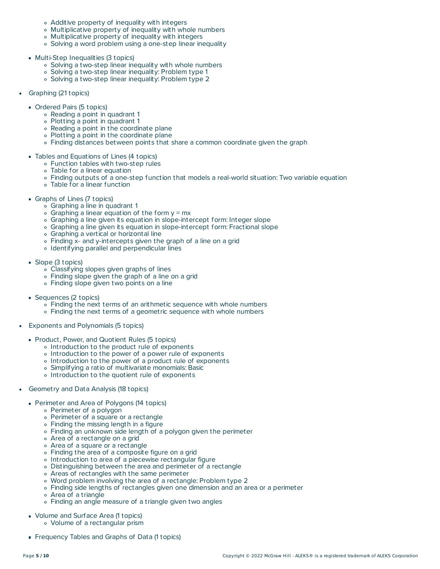- Additive property of inequality with integers
- Multiplicative property of inequality with whole numbers
- Multiplicative property of inequality with integers
- Solving a word problem using a one-step linear inequality
- Multi-Step Inequalities (3 topics)
	- Solving a two-step linear inequality with whole numbers
	- Solving a two-step linear inequality: Problem type 1
	- Solving a two-step linear inequality: Problem type 2
- Graphing (21 topics)  $\bullet$ 
	- Ordered Pairs (5 topics)
		- Reading a point in quadrant 1
		- Plotting a point in quadrant 1
		- Reading a point in the coordinate plane
		- Plotting a point in the coordinate plane
		- Finding distances between points that share a common coordinate given the graph
	- Tables and Equations of Lines (4 topics)
		- Function tables with two-step rules
		- Table for a linear equation
		- Finding outputs of a one-step function that models a real-world situation: Two variable equation
		- Table for a linear function
	- Graphs of Lines (7 topics)
		- Graphing a line in quadrant 1
		- $\circ$  Graphing a linear equation of the form  $y = mx$
		- Graphing a line given its equation in slope-intercept form: Integer slope
		- Graphing a line given its equation in slope-intercept form: Fractional slope
		- Graphing a vertical or horizontal line
		- Finding x- and y-intercepts given the graph of a line on a grid
		- Identifying parallel and perpendicular lines
	- Slope (3 topics)
		- Classifying slopes given graphs of lines
		- Finding slope given the graph of a line on a grid
		- Finding slope given two points on a line
	- Sequences (2 topics)
		- Finding the next terms of an arithmetic sequence with whole numbers
		- Finding the next terms of a geometric sequence with whole numbers
- Exponents and Polynomials (5 topics)
	- **Product, Power, and Quotient Rules (5 topics)** 
		- o Introduction to the product rule of exponents
		- o Introduction to the power of a power rule of exponents
		- o Introduction to the power of a product rule of exponents
		- Simplifying a ratio of multivariate monomials: Basic
		- Introduction to the quotient rule of exponents
- $\bullet$ Geometry and Data Analysis (18 topics)
	- **Perimeter and Area of Polygons (14 topics)** 
		- Perimeter of a polygon
		- Perimeter of a square or a rectangle
		- Finding the missing length in a figure
		- Finding an unknown side length of a polygon given the perimeter
		- Area of a rectangle on a grid
		- Area of a square or a rectangle
		- Finding the area of a composite figure on a grid
		- o Introduction to area of a piecewise rectangular figure
		- Distinguishing between the area and perimeter of a rectangle
		- Areas of rectangles with the same perimeter
		- Word problem involving the area of a rectangle: Problem type 2
		- Finding side lengths of rectangles given one dimension and an area or a perimeter
		- Area of a triangle
		- Finding an angle measure of a triangle given two angles
	- Volume and Surface Area (1 topics)
		- Volume of a rectangular prism
	- Frequency Tables and Graphs of Data (1 topics)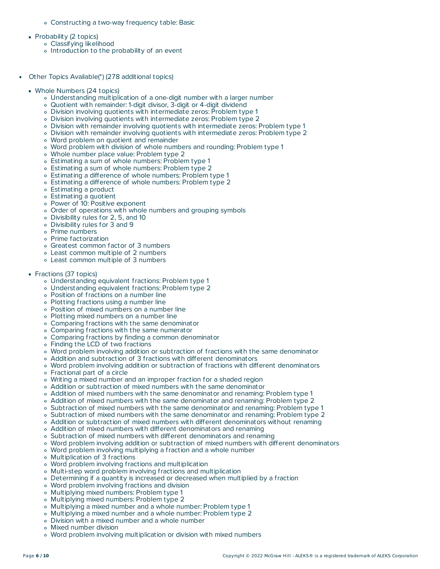- Constructing a two-way frequency table: Basic
- **Probability (2 topics)** 
	- Classifying likelihood
	- o Introduction to the probability of an event
- Other Topics Available(\*) (278 additional topics)  $\bullet$ 
	- Whole Numbers (24 topics)
		- Understanding multiplication of a one-digit number with a larger number
		- Quotient with remainder: 1-digit divisor, 3-digit or 4-digit dividend
		- Division involving quotients with intermediate zeros: Problem type 1
		- Division involving quotients with intermediate zeros: Problem type 2
		- Division with remainder involving quotients with intermediate zeros: Problem type 1
		- Division with remainder involving quotients with intermediate zeros: Problem type 2
		- Word problem on quotient and remainder
		- Word problem with division of whole numbers and rounding: Problem type 1
		- Whole number place value: Problem type 2
		- Estimating a sum of whole numbers: Problem type 1
		- Estimating a sum of whole numbers: Problem type 2
		- Estimating a difference of whole numbers: Problem type 1
		- Estimating a difference of whole numbers: Problem type 2
		- Estimating a product
		- Estimating a quotient
		- Power of 10: Positive exponent
		- Order of operations with whole numbers and grouping symbols
		- Divisibility rules for 2, 5, and 10
		- Divisibility rules for 3 and 9
		- Prime numbers
		- Prime factorization
		- Greatest common factor of 3 numbers
		- Least common multiple of 2 numbers
		- Least common multiple of 3 numbers
	- Fractions (37 topics)
		- Understanding equivalent fractions: Problem type 1
		- Understanding equivalent fractions: Problem type 2
		- Position of fractions on a number line
		- Plotting fractions using a number line
		- Position of mixed numbers on a number line
		- Plotting mixed numbers on a number line
		- Comparing fractions with the same denominator
		- Comparing fractions with the same numerator
		- Comparing fractions by finding a common denominator
		- Finding the LCD of two fractions
		- Word problem involving addition or subtraction of fractions with the same denominator
		- Addition and subtraction of 3 fractions with different denominators
		- Word problem involving addition or subtraction of fractions with different denominators
		- Fractional part of a circle
		- Writing a mixed number and an improper fraction for a shaded region
		- Addition or subtraction of mixed numbers with the same denominator
		- Addition of mixed numbers with the same denominator and renaming: Problem type 1
		- Addition of mixed numbers with the same denominator and renaming: Problem type 2
		- Subtraction of mixed numbers with the same denominator and renaming: Problem type 1
		- Subtraction of mixed numbers with the same denominator and renaming: Problem type 2
		- Addition or subtraction of mixed numbers with different denominators without renaming
		- Addition of mixed numbers with different denominators and renaming
		- Subtraction of mixed numbers with different denominators and renaming
		- Word problem involving addition or subtraction of mixed numbers with different denominators
		- Word problem involving multiplying a fraction and a whole number
		- Multiplication of 3 fractions
		- Word problem involving fractions and multiplication
		- Multi-step word problem involving fractions and multiplication
		- Determining if a quantity is increased or decreased when multiplied by a fraction
		- Word problem involving fractions and division
		- Multiplying mixed numbers: Problem type 1
		- Multiplying mixed numbers: Problem type 2
		- Multiplying a mixed number and a whole number: Problem type 1
		- Multiplying a mixed number and a whole number: Problem type 2
		- Division with a mixed number and a whole number
		- Mixed number division
		- Word problem involving multiplication or division with mixed numbers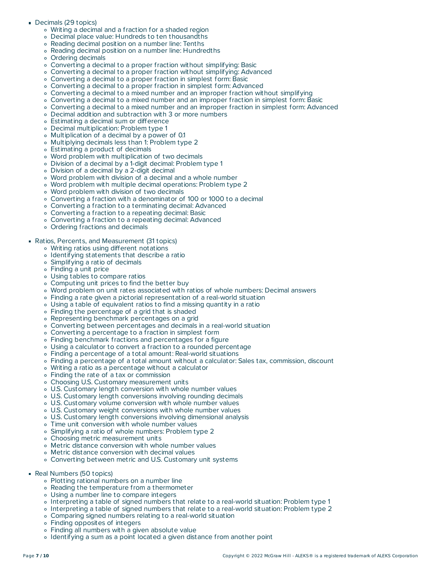#### Decimals (29 topics)

- Writing a decimal and a fraction for a shaded region
- Decimal place value: Hundreds to ten thousandths
- Reading decimal position on a number line: Tenths
- Reading decimal position on a number line: Hundredths
- Ordering decimals
- Converting a decimal to a proper fraction without simplifying: Basic
- Converting a decimal to a proper fraction without simplifying: Advanced
- Converting a decimal to a proper fraction in simplest form: Basic
- Converting a decimal to a proper fraction in simplest form: Advanced
- Converting a decimal to a mixed number and an improper fraction without simplifying
- Converting a decimal to a mixed number and an improper fraction in simplest form: Basic
- Converting a decimal to a mixed number and an improper fraction in simplest form: Advanced
- Decimal addition and subtraction with 3 or more numbers
- Estimating a decimal sum or difference
- Decimal multiplication: Problem type 1
- Multiplication of a decimal by a power of 0.1
- Multiplying decimals less than 1: Problem type 2
- Estimating a product of decimals
- Word problem with multiplication of two decimals
- Division of a decimal by a 1-digit decimal: Problem type 1
- Division of a decimal by a 2-digit decimal
- Word problem with division of a decimal and a whole number
- Word problem with multiple decimal operations: Problem type 2
- Word problem with division of two decimals
- Converting a fraction with a denominator of 100 or 1000 to a decimal
- Converting a fraction to a terminating decimal: Advanced
- Converting a fraction to a repeating decimal: Basic
- Converting a fraction to a repeating decimal: Advanced
- Ordering fractions and decimals
- Ratios, Percents, and Measurement (31 topics)
	- Writing ratios using different notations
	- Identifying statements that describe a ratio
	- Simplifying a ratio of decimals
	- Finding a unit price
	- Using tables to compare ratios
	- Computing unit prices to find the better buy
	- Word problem on unit rates associated with ratios of whole numbers: Decimal answers
	- Finding a rate given a pictorial representation of a real-world situation
	- Using a table of equivalent ratios to find a missing quantity in a ratio
	- Finding the percentage of a grid that is shaded
	- Representing benchmark percentages on a grid
	- Converting between percentages and decimals in a real-world situation
	- Converting a percentage to a fraction in simplest form
	- Finding benchmark fractions and percentages for a figure
	- Using a calculator to convert a fraction to a rounded percentage
	- Finding a percentage of a total amount: Real-world situations
	- Finding a percentage of a total amount without a calculator: Sales tax, commission, discount
	- Writing a ratio as a percentage without a calculator
	- Finding the rate of a tax or commission
	- Choosing U.S. Customary measurement units
	- U.S. Customary length conversion with whole number values
	- U.S. Customary length conversions involving rounding decimals
	- U.S. Customary volume conversion with whole number values
	- U.S. Customary weight conversions with whole number values
	- U.S. Customary length conversions involving dimensional analysis
	- Time unit conversion with whole number values
	- Simplifying a ratio of whole numbers: Problem type 2
	- Choosing metric measurement units
	- Metric distance conversion with whole number values
	- Metric distance conversion with decimal values
	- Converting between metric and U.S. Customary unit systems
- Real Numbers (50 topics)
	- Plotting rational numbers on a number line
	- Reading the temperature from a thermometer
	- Using a number line to compare integers
	- Interpreting a table of signed numbers that relate to a real-world situation: Problem type 1
	- Interpreting a table of signed numbers that relate to a real-world situation: Problem type 2
	- Comparing signed numbers relating to a real-world situation
	- Finding opposites of integers
	- Finding all numbers with a given absolute value
	- Identifying a sum as a point located a given distance from another point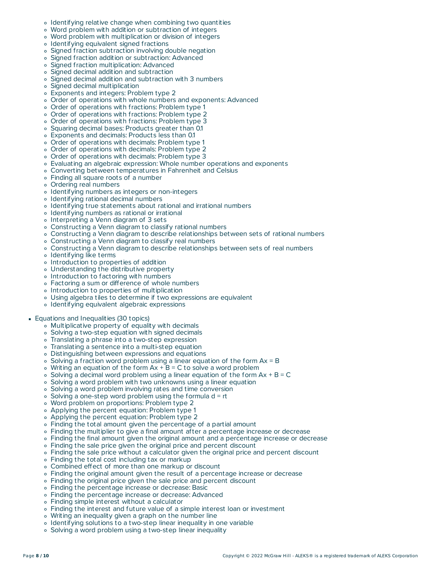- Identifying relative change when combining two quantities
- $\circ$ Word problem with addition or subtraction of integers
- Word problem with multiplication or division of integers  $\circ$
- Identifying equivalent signed fractions
- Signed fraction subtraction involving double negation
- Signed fraction addition or subtraction: Advanced
- Signed fraction multiplication: Advanced
- Signed decimal addition and subtraction
- $\circ$ Signed decimal addition and subtraction with 3 numbers
- Signed decimal multiplication
- Exponents and integers: Problem type 2
- Order of operations with whole numbers and exponents: Advanced
- Order of operations with fractions: Problem type 1
- Order of operations with fractions: Problem type 2
- Order of operations with fractions: Problem type 3
- Squaring decimal bases: Products greater than 0.1
- Exponents and decimals: Products less than 0.1
- Order of operations with decimals: Problem type 1
- Order of operations with decimals: Problem type 2
- Order of operations with decimals: Problem type 3
- Evaluating an algebraic expression: Whole number operations and exponents
- Converting between temperatures in Fahrenheit and Celsius
- Finding all square roots of a number
- Ordering real numbers
- Identifying numbers as integers or non-integers
- Identifying rational decimal numbers
- Identifying true statements about rational and irrational numbers
- Identifying numbers as rational or irrational
- o Interpreting a Venn diagram of 3 sets
- Constructing a Venn diagram to classify rational numbers
- Constructing a Venn diagram to describe relationships between sets of rational numbers
- Constructing a Venn diagram to classify real numbers
- Constructing a Venn diagram to describe relationships between sets of real numbers
- Identifying like terms
- Introduction to properties of addition
- Understanding the distributive property
- o Introduction to factoring with numbers
- Factoring a sum or difference of whole numbers
- o Introduction to properties of multiplication
- Using algebra tiles to determine if two expressions are equivalent
- o Identifying equivalent algebraic expressions
- **Equations and Inequalities (30 topics)** 
	- Multiplicative property of equality with decimals
	- Solving a two-step equation with signed decimals
	- Translating a phrase into a two-step expression
	- Translating a sentence into a multi-step equation
	- Distinguishing between expressions and equations
	- $\circ$  Solving a fraction word problem using a linear equation of the form  $Ax = B$
	- $\circ$  Writing an equation of the form  $Ax + B = C$  to solve a word problem
	- $\circ$  Solving a decimal word problem using a linear equation of the form  $Ax + B = C$
	- Solving a word problem with two unknowns using a linear equation
	- Solving a word problem involving rates and time conversion
	- $\circ$  Solving a one-step word problem using the formula d = rt
	- Word problem on proportions: Problem type 2
	- Applying the percent equation: Problem type 1
	- Applying the percent equation: Problem type 2
	- Finding the total amount given the percentage of a partial amount
	- Finding the multiplier to give a final amount after a percentage increase or decrease
	- Finding the final amount given the original amount and a percentage increase or decrease
	- Finding the sale price given the original price and percent discount
	- Finding the sale price without a calculator given the original price and percent discount
	- Finding the total cost including tax or markup
	- Combined effect of more than one markup or discount
	- Finding the original amount given the result of a percentage increase or decrease
	- Finding the original price given the sale price and percent discount
	- Finding the percentage increase or decrease: Basic
	- Finding the percentage increase or decrease: Advanced
	- Finding simple interest without a calculator
	- Finding the interest and future value of a simple interest loan or investment
	- Writing an inequality given a graph on the number line
	- o Identifying solutions to a two-step linear inequality in one variable
	- Solving a word problem using a two-step linear inequality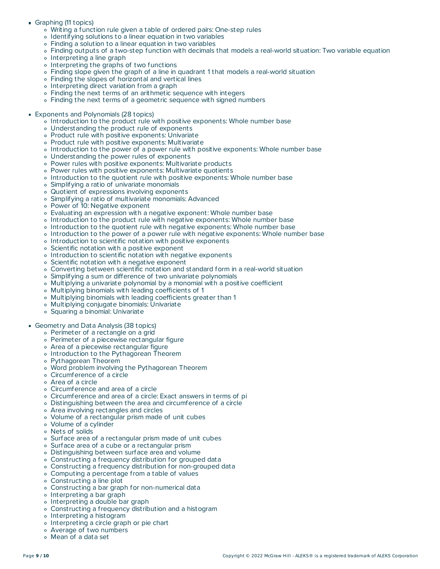- Graphing (11 topics)
	- Writing a function rule given a table of ordered pairs: One-step rules
	- Identifying solutions to a linear equation in two variables
	- Finding a solution to a linear equation in two variables
	- Finding outputs of a two-step function with decimals that models a real-world situation: Two variable equation
	- Interpreting a line graph
	- Interpreting the graphs of two functions
	- Finding slope given the graph of a line in quadrant 1 that models a real-world situation
	- Finding the slopes of horizontal and vertical lines
	- o Interpreting direct variation from a graph
	- Finding the next terms of an arithmetic sequence with integers
	- Finding the next terms of a geometric sequence with signed numbers
- Exponents and Polynomials (28 topics)
	- Introduction to the product rule with positive exponents: Whole number base
	- Understanding the product rule of exponents
	- Product rule with positive exponents: Univariate
	- Product rule with positive exponents: Multivariate
	- o Introduction to the power of a power rule with positive exponents: Whole number base
	- Understanding the power rules of exponents
	- Power rules with positive exponents: Multivariate products
	- Power rules with positive exponents: Multivariate quotients
	- Introduction to the quotient rule with positive exponents: Whole number base
	- Simplifying a ratio of univariate monomials
	- Quotient of expressions involving exponents
	- Simplifying a ratio of multivariate monomials: Advanced
	- Power of 10: Negative exponent
	- Evaluating an expression with a negative exponent: Whole number base
	- Introduction to the product rule with negative exponents: Whole number base
	- o Introduction to the quotient rule with negative exponents: Whole number base
	- Introduction to the power of a power rule with negative exponents: Whole number base
	- o Introduction to scientific notation with positive exponents
	- Scientific notation with a positive exponent
	- Introduction to scientific notation with negative exponents
	- Scientific notation with a negative exponent
	- Converting between scientific notation and standard form in a real-world situation
	- Simplifying a sum or difference of two univariate polynomials
	- Multiplying a univariate polynomial by a monomial with a positive coefficient
	- Multiplying binomials with leading coefficients of 1
	- Multiplying binomials with leading coefficients greater than 1
	- Multiplying conjugate binomials: Univariate
	- Squaring a binomial: Univariate

#### Geometry and Data Analysis (38 topics)

- Perimeter of a rectangle on a grid
- Perimeter of a piecewise rectangular figure
- Area of a piecewise rectangular figure
- o Introduction to the Pythagorean Theorem
- Pythagorean Theorem
- Word problem involving the Pythagorean Theorem
- Circumference of a circle
- Area of a circle
- Circumference and area of a circle
- Circumference and area of a circle: Exact answers in terms of pi
- Distinguishing between the area and circumference of a circle
- Area involving rectangles and circles
- Volume of a rectangular prism made of unit cubes
- Volume of a cylinder
- Nets of solids
- Surface area of a rectangular prism made of unit cubes
- Surface area of a cube or a rectangular prism
- Distinguishing between surface area and volume
- Constructing a frequency distribution for grouped data
- Constructing a frequency distribution for non-grouped data
- Computing a percentage from a table of values
- Constructing a line plot
- Constructing a bar graph for non-numerical data
- Interpreting a bar graph
- o Interpreting a double bar graph
- Constructing a frequency distribution and a histogram
- Interpreting a histogram
- Interpreting a circle graph or pie chart
- Average of two numbers
- Mean of a data set